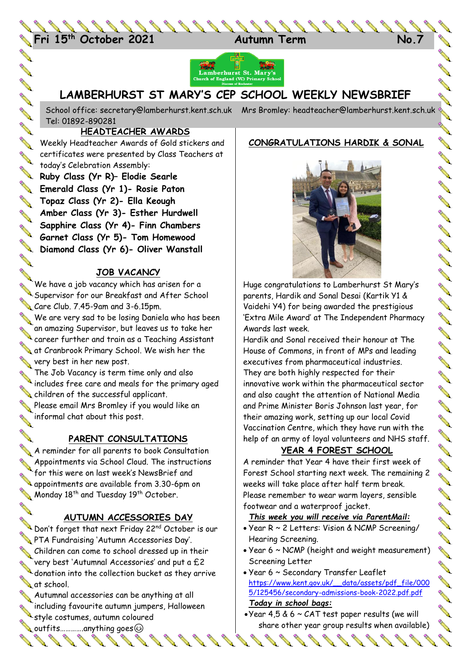24 **Fri 15th October 2021 Autumn Term No.7**



# **LAMBERHURST ST MARY'S CEP SCHOOL WEEKLY NEWSBRIEF**

School office: [secretary@lamberhurst.kent.sch.uk](mailto:secretary@lamberhurst.kent.sch.uk) Mrs Bromley: headteacher@lamberhurst.kent.sch.uk Tel: 01892-890281

#### **HEADTEACHER AWARDS**

**CONSTA** 

**ANY AND** 

**AND** 

**ANTI** 

Weekly Headteacher Awards of Gold stickers and **ANTE** certificates were presented by Class Teachers at today's Celebration Assembly:

**Ruby Class (Yr R)– Elodie Searle Emerald Class (Yr 1)- Rosie Paton Topaz Class (Yr 2)- Ella Keough Amber Class (Yr 3)- Esther Hurdwell Sapphire Class (Yr 4)- Finn Chambers Gapphire Class (11 1)**<br>Garnet Class (Yr 5)- Tom Homewood<br>Cliven Wansta **Diamond Class (Yr 6)- Oliver Wanstall**

We have a job vacancy which has arisen for a<br>
We have a job vacancy which has arisen for a We have a job vacancy which has arisen for a Supervisor for our Breakfast and After School Care Club. 7.45-9am and 3-6.15pm.

We are very sad to be losing Daniela who has been an amazing Supervisor, but leaves us to take her career further and train as a Teaching Assistant at Cranbrook Primary School. We wish her the very best in her new post.

The Job Vacancy is term time only and also includes free care and meals for the primary aged children of the successful applicant.

Please email Mrs Bromley if you would like an<br>a informal chat about this post. informal chat about this post.

## **PARENT CONSULTATIONS**

A reminder for all parents to book Consultation Appointments via School Cloud. The instructions Appointments via scribbi bises.<br>For this were on last week's NewsBrief and<br>Figures 130-6pm Tor into were on the state from 3.30-6pm on Monday 18<sup>th</sup> and Tuesday 19<sup>th</sup> October.

## **AUTUMN ACCESSORIES DAY**

Don't forget that next Friday 22nd October is our PTA Fundraising 'Autumn Accessories Day'. Schildren can come to school dressed up in their very best 'Autumnal Accessories' and put a £2 donation into the collection bucket as they arrive at school.

 $\blacklozenge$  Autumnal accessories can be anything at all including favourite autumn jumpers, Halloween style costumes, autumn coloured

**Soutfits..............anything goes** R P P.

#### **CONGRATULATIONS HARDIK & SONAL**



Huge congratulations to Lamberhurst St Mary's parents, Hardik and Sonal Desai (Kartik Y1 & Vaidehi Y4) for being awarded the prestigious 'Extra Mile Award' at The Independent Pharmacy Awards last week.

Hardik and Sonal received their honour at The House of Commons, in front of MPs and leading executives from pharmaceutical industries. They are both highly respected for their innovative work within the pharmaceutical sector and also caught the attention of National Media and Prime Minister Boris Johnson last year, for their amazing work, setting up our local Covid Vaccination Centre, which they have run with the help of an army of loyal volunteers and NHS staff.

## **YEAR 4 FOREST SCHOOL**

A reminder that Year 4 have their first week of Forest School starting next week. The remaining 2 weeks will take place after half term break. Please remember to wear warm layers, sensible footwear and a waterproof jacket.

## *This week you will receive via ParentMail:*

- Year R ~ 2 Letters: Vision & NCMP Screening/ Hearing Screening.
- Year 6 ~ NCMP (height and weight measurement) Screening Letter
- Year 6 ~ Secondary Transfer Leaflet [https://www.kent.gov.uk/\\_\\_data/assets/pdf\\_file/000](https://www.kent.gov.uk/__data/assets/pdf_file/0005/125456/secondary-admissions-book-2022.pdf.pdf) [5/125456/secondary-admissions-book-2022.pdf.pdf](https://www.kent.gov.uk/__data/assets/pdf_file/0005/125456/secondary-admissions-book-2022.pdf.pdf) *Today in school bags:*
- Year 4,5 & 6 ~ CAT test paper results (we will share other year group results when available)